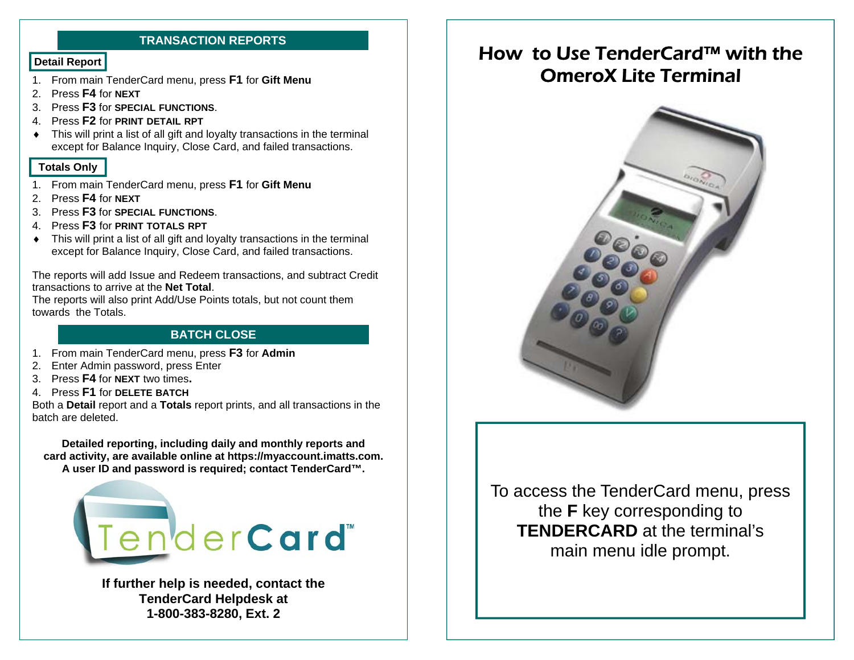#### **TRANSACTION REPORTS**

- 1. From main TenderCard menu, press **F1** for **Gift Menu**
- 2. Press **F4** for **NEXT**
- 3. Press **F3** for **SPECIAL FUNCTIONS**.
- 4. Press **F2** for **PRINT DETAIL RPT**
- This will print a list of all gift and loyalty transactions in the terminal except for Balance Inquiry, Close Card, and failed transactions.

#### **Totals Only**

- 1. From main TenderCard menu, press **F1** for **Gift Menu**
- 2. Press **F4** for **NEXT**
- 3. Press **F3** for **SPECIAL FUNCTIONS**.
- 4. Press **F3** for **PRINT TOTALS RPT**
- This will print a list of all gift and loyalty transactions in the terminal except for Balance Inquiry, Close Card, and failed transactions.

The reports will add Issue and Redeem transactions, and subtract Credit transactions to arrive at the **Net Total**.

The reports will also print Add/Use Points totals, but not count them towards the Totals.

#### **BATCH CLOSE**

- 1. From main TenderCard menu, press **F3** for **Admin**
- 2. Enter Admin password, press Enter
- 3. Press **F4** for **NEXT** two times**.**
- 4. Press **F1** for **DELETE BATCH**

Both a **Detail** report and a **Totals** report prints, and all transactions in the batch are deleted.

**Detailed reporting, including daily and monthly reports and card activity, are available online at https://myaccount.imatts.com. A user ID and password is required; contact TenderCard™.** 



**If further help is needed, contact the TenderCard Helpdesk at 1-800-383-8280, Ext. 2** 

# **Detail Report Example 10 Minutes and Tender Card™ with the** OmeroX Lite Terminal



To access the TenderCard menu, press the **F** key corresponding to **TENDERCARD** at the terminal's main menu idle prompt.